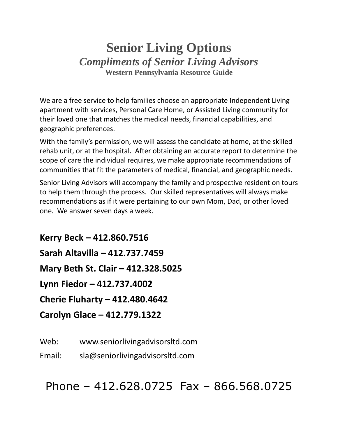# **Senior Living Options** *Compliments of Senior Living Advisors* **Western Pennsylvania Resource Guide**

We are a free service to help families choose an appropriate Independent Living apartment with services, Personal Care Home, or Assisted Living community for their loved one that matches the medical needs, financial capabilities, and geographic preferences.

With the family's permission, we will assess the candidate at home, at the skilled rehab unit, or at the hospital. After obtaining an accurate report to determine the scope of care the individual requires, we make appropriate recommendations of communities that fit the parameters of medical, financial, and geographic needs.

Senior Living Advisors will accompany the family and prospective resident on tours to help them through the process. Our skilled representatives will always make recommendations as if it were pertaining to our own Mom, Dad, or other loved one. We answer seven days a week.

**Kerry Beck – 412.860.7516 Sarah Altavilla – 412.737.7459 Mary Beth St. Clair – 412.328.5025 Lynn Fiedor – 412.737.4002 Cherie Fluharty – 412.480.4642 Carolyn Glace – 412.779.1322**

Web: www.seniorlivingadvisorsltd.com

Email: sla@seniorlivingadvisorsltd.com

Phone – 412.628.0725 Fax – 866.568.0725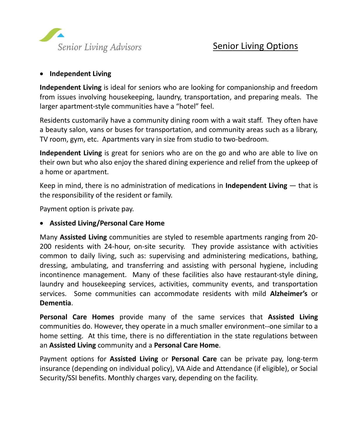

#### • **Independent Living**

**Independent Living** is ideal for seniors who are looking for companionship and freedom from issues involving housekeeping, laundry, transportation, and preparing meals. The larger apartment-style communities have a "hotel" feel.

Residents customarily have a community dining room with a wait staff. They often have a beauty salon, vans or buses for transportation, and community areas such as a library, TV room, gym, etc. Apartments vary in size from studio to two-bedroom.

**Independent Living** is great for seniors who are on the go and who are able to live on their own but who also enjoy the shared dining experience and relief from the upkeep of a home or apartment.

Keep in mind, there is no administration of medications in **Independent Living** — that is the responsibility of the resident or family.

Payment option is private pay.

### • **Assisted Living/Personal Care Home**

Many **Assisted Living** communities are styled to resemble apartments ranging from 20- 200 residents with 24-hour, on-site security. They provide assistance with activities common to daily living, such as: supervising and administering medications, bathing, dressing, ambulating, and transferring and assisting with personal hygiene, including incontinence management. Many of these facilities also have restaurant-style dining, laundry and housekeeping services, activities, community events, and transportation services. Some communities can accommodate residents with mild **Alzheimer's** or **Dementia**.

**Personal Care Homes** provide many of the same services that **Assisted Living** communities do. However, they operate in a much smaller environment--one similar to a home setting. At this time, there is no differentiation in the state regulations between an **Assisted Living** community and a **Personal Care Home**.

Payment options for **Assisted Living** or **Personal Care** can be private pay, long-term insurance (depending on individual policy), VA Aide and Attendance (if eligible), or Social Security/SSI benefits. Monthly charges vary, depending on the facility.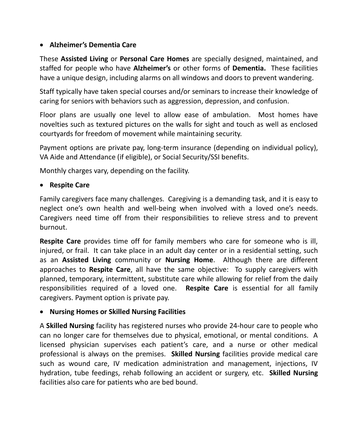# • **Alzheimer's Dementia Care**

These **Assisted Living** or **Personal Care Homes** are specially designed, maintained, and staffed for people who have **Alzheimer's** or other forms of **Dementia.** These facilities have a unique design, including alarms on all windows and doors to prevent wandering.

Staff typically have taken special courses and/or seminars to increase their knowledge of caring for seniors with behaviors such as aggression, depression, and confusion.

Floor plans are usually one level to allow ease of ambulation. Most homes have novelties such as textured pictures on the walls for sight and touch as well as enclosed courtyards for freedom of movement while maintaining security.

Payment options are private pay, long-term insurance (depending on individual policy), VA Aide and Attendance (if eligible), or Social Security/SSI benefits.

Monthly charges vary, depending on the facility.

## • **Respite Care**

Family caregivers face many challenges. Caregiving is a demanding task, and it is easy to neglect one's own health and well-being when involved with a loved one's needs. Caregivers need time off from their responsibilities to relieve stress and to prevent burnout.

**Respite Care** provides time off for family members who care for someone who is ill, injured, or frail. It can take place in an adult day center or in a residential setting, such as an **Assisted Living** community or **Nursing Home**. Although there are different approaches to **Respite Care**, all have the same objective: To supply caregivers with planned, temporary, intermittent, substitute care while allowing for relief from the daily responsibilities required of a loved one. **Respite Care** is essential for all family caregivers. Payment option is private pay.

## • **Nursing Homes or Skilled Nursing Facilities**

A **Skilled Nursing** facility has registered nurses who provide 24-hour care to people who can no longer care for themselves due to physical, emotional, or mental conditions. A licensed physician supervises each patient's care, and a nurse or other medical professional is always on the premises. **Skilled Nursing** facilities provide medical care such as wound care, IV medication administration and management, injections, IV hydration, tube feedings, rehab following an accident or surgery, etc. **Skilled Nursing** facilities also care for patients who are bed bound.